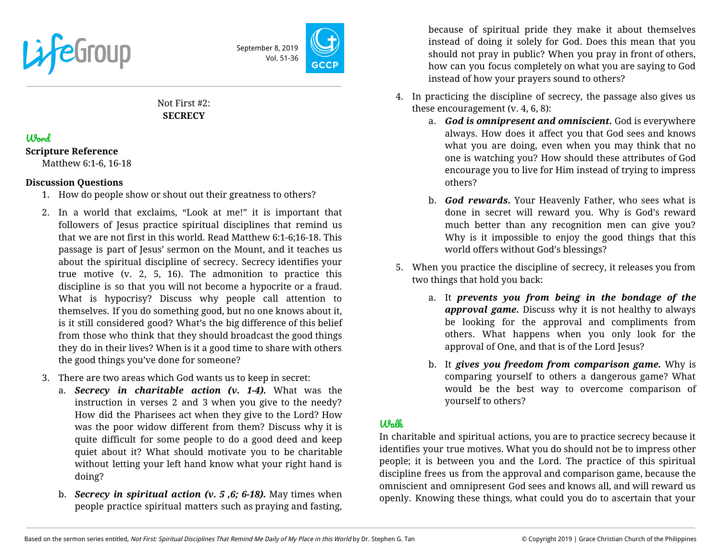



Not First #2: **SECRECY**

## Word

**Scripture Reference**

Matthew 6:1-6, 16-18

## **Discussion Questions**

- 1. How do people show or shout out their greatness to others?
- 2. In a world that exclaims, "Look at me!" it is important that followers of Jesus practice spiritual disciplines that remind us that we are not first in this world. Read Matthew 6:1-6;16-18. This passage is part of Jesus' sermon on the Mount, and it teaches us about the spiritual discipline of secrecy. Secrecy identifies your true motive (v. 2, 5, 16). The admonition to practice this discipline is so that you will not become a hypocrite or a fraud. What is hypocrisy? Discuss why people call attention to themselves. If you do something good, but no one knows about it, is it still considered good? What's the big difference of this belief from those who think that they should broadcast the good things they do in their lives? When is it a good time to share with others the good things you've done for someone?
- 3. There are two areas which God wants us to keep in secret:
	- a. *Secrecy in charitable action (v. 1-4).* What was the instruction in verses 2 and 3 when you give to the needy? How did the Pharisees act when they give to the Lord? How was the poor widow different from them? Discuss why it is quite difficult for some people to do a good deed and keep quiet about it? What should motivate you to be charitable without letting your left hand know what your right hand is doing?
	- b. *Secrecy in spiritual action (v. 5 ,6; 6-18).* May times when people practice spiritual matters such as praying and fasting,

because of spiritual pride they make it about themselves instead of doing it solely for God. Does this mean that you should not pray in public? When you pray in front of others, how can you focus completely on what you are saying to God instead of how your prayers sound to others?

- 4. In practicing the discipline of secrecy, the passage also gives us these encouragement (v. 4, 6, 8):
	- a. *God is omnipresent and omniscient.* God is everywhere always. How does it affect you that God sees and knows what you are doing, even when you may think that no one is watching you? How should these attributes of God encourage you to live for Him instead of trying to impress others?
	- b. *God rewards.* Your Heavenly Father, who sees what is done in secret will reward you. Why is God's reward much better than any recognition men can give you? Why is it impossible to enjoy the good things that this world offers without God's blessings?
- 5. When you practice the discipline of secrecy, it releases you from two things that hold you back:
	- a. It *prevents you from being in the bondage of the approval game.* Discuss why it is not healthy to always be looking for the approval and compliments from others. What happens when you only look for the approval of One, and that is of the Lord Jesus?
	- b. It *gives you freedom from comparison game.* Why is comparing yourself to others a dangerous game? What would be the best way to overcome comparison of yourself to others?

## $U$ *m* $V$ *k*

In charitable and spiritual actions, you are to practice secrecy because it identifies your true motives. What you do should not be to impress other people; it is between you and the Lord. The practice of this spiritual discipline frees us from the approval and comparison game, because the omniscient and omnipresent God sees and knows all, and will reward us openly. Knowing these things, what could you do to ascertain that your